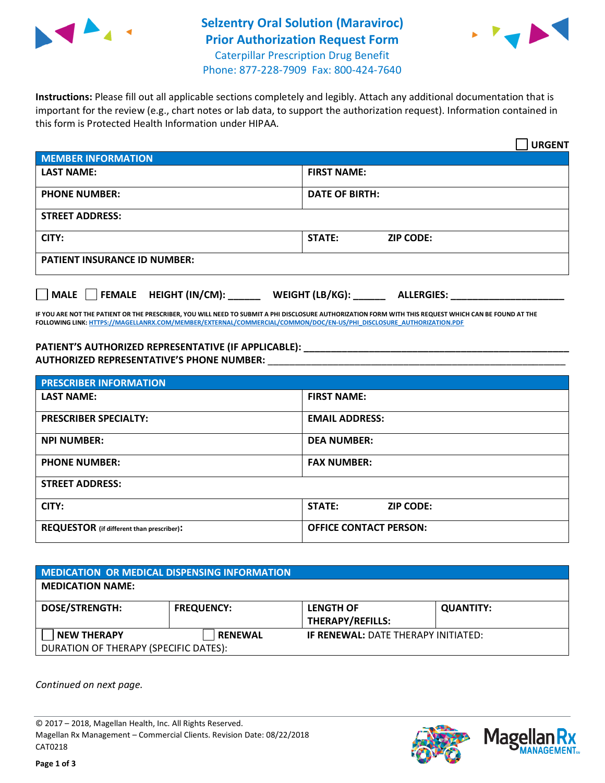

## **Selzentry Oral Solution (Maraviroc) Prior Authorization Request Form** Caterpillar Prescription Drug Benefit



Phone: 877-228-7909 Fax: 800-424-7640

**Instructions:** Please fill out all applicable sections completely and legibly. Attach any additional documentation that is important for the review (e.g., chart notes or lab data, to support the authorization request). Information contained in this form is Protected Health Information under HIPAA.

|                                     | <b>URGENT</b>                        |  |  |  |
|-------------------------------------|--------------------------------------|--|--|--|
| <b>MEMBER INFORMATION</b>           |                                      |  |  |  |
| <b>LAST NAME:</b>                   | <b>FIRST NAME:</b>                   |  |  |  |
| <b>PHONE NUMBER:</b>                | <b>DATE OF BIRTH:</b>                |  |  |  |
| <b>STREET ADDRESS:</b>              |                                      |  |  |  |
| CITY:                               | <b>ZIP CODE:</b><br>STATE:           |  |  |  |
| <b>PATIENT INSURANCE ID NUMBER:</b> |                                      |  |  |  |
| MALE FEMALE HEIGHT (IN/CM):         | WEIGHT (LB/KG):<br><b>ALLERGIES:</b> |  |  |  |

**IF YOU ARE NOT THE PATIENT OR THE PRESCRIBER, YOU WILL NEED TO SUBMIT A PHI DISCLOSURE AUTHORIZATION FORM WITH THIS REQUEST WHICH CAN BE FOUND AT THE FOLLOWING LINK[: HTTPS://MAGELLANRX.COM/MEMBER/EXTERNAL/COMMERCIAL/COMMON/DOC/EN-US/PHI\\_DISCLOSURE\\_AUTHORIZATION.PDF](https://magellanrx.com/member/external/commercial/common/doc/en-us/PHI_Disclosure_Authorization.pdf)**

**PATIENT'S AUTHORIZED REPRESENTATIVE (IF APPLICABLE): \_\_\_\_\_\_\_\_\_\_\_\_\_\_\_\_\_\_\_\_\_\_\_\_\_\_\_\_\_\_\_\_\_\_\_\_\_\_\_\_\_\_\_\_\_\_\_\_\_ AUTHORIZED REPRESENTATIVE'S PHONE NUMBER:** \_\_\_\_\_\_\_\_\_\_\_\_\_\_\_\_\_\_\_\_\_\_\_\_\_\_\_\_\_\_\_\_\_\_\_\_\_\_\_\_\_\_\_\_\_\_\_\_\_\_\_\_\_\_\_

| <b>PRESCRIBER INFORMATION</b>             |                                   |  |  |  |
|-------------------------------------------|-----------------------------------|--|--|--|
| <b>LAST NAME:</b>                         | <b>FIRST NAME:</b>                |  |  |  |
| <b>PRESCRIBER SPECIALTY:</b>              | <b>EMAIL ADDRESS:</b>             |  |  |  |
| <b>NPI NUMBER:</b>                        | <b>DEA NUMBER:</b>                |  |  |  |
| <b>PHONE NUMBER:</b>                      | <b>FAX NUMBER:</b>                |  |  |  |
| <b>STREET ADDRESS:</b>                    |                                   |  |  |  |
| CITY:                                     | <b>STATE:</b><br><b>ZIP CODE:</b> |  |  |  |
| REQUESTOR (if different than prescriber): | <b>OFFICE CONTACT PERSON:</b>     |  |  |  |

| <b>MEDICATION OR MEDICAL DISPENSING INFORMATION</b>         |                   |                                             |                  |  |  |
|-------------------------------------------------------------|-------------------|---------------------------------------------|------------------|--|--|
| <b>MEDICATION NAME:</b>                                     |                   |                                             |                  |  |  |
| <b>DOSE/STRENGTH:</b>                                       | <b>FREQUENCY:</b> | <b>LENGTH OF</b><br><b>THERAPY/REFILLS:</b> | <b>QUANTITY:</b> |  |  |
| <b>NEW THERAPY</b><br>DURATION OF THERAPY (SPECIFIC DATES): | <b>RENEWAL</b>    | <b>IF RENEWAL: DATE THERAPY INITIATED:</b>  |                  |  |  |

*Continued on next page.*

© 2017 – 2018, Magellan Health, Inc. All Rights Reserved. Magellan Rx Management – Commercial Clients. Revision Date: 08/22/2018 CAT0218



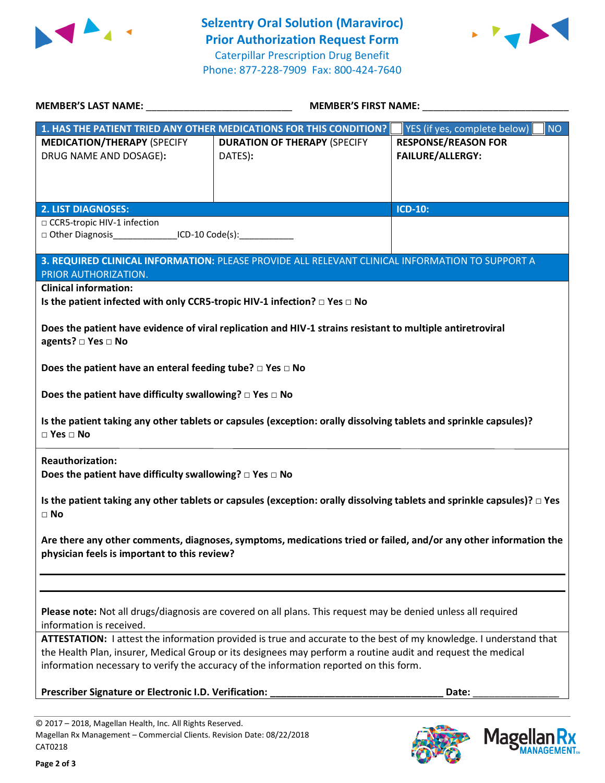



Mage

**KX ANAGEMENT**<sub>SM</sub>

| <b>MEMBER'S LAST NAME:</b> NAME                                                                                                                                  | <b>MEMBER'S FIRST NAME:</b>                                                                                |                                           |  |  |  |
|------------------------------------------------------------------------------------------------------------------------------------------------------------------|------------------------------------------------------------------------------------------------------------|-------------------------------------------|--|--|--|
|                                                                                                                                                                  | 1. HAS THE PATIENT TRIED ANY OTHER MEDICATIONS FOR THIS CONDITION?                                         | YES (if yes, complete below)<br><b>NO</b> |  |  |  |
| <b>MEDICATION/THERAPY (SPECIFY</b>                                                                                                                               | <b>DURATION OF THERAPY (SPECIFY</b>                                                                        | <b>RESPONSE/REASON FOR</b>                |  |  |  |
| DRUG NAME AND DOSAGE):                                                                                                                                           | DATES):                                                                                                    | <b>FAILURE/ALLERGY:</b>                   |  |  |  |
|                                                                                                                                                                  |                                                                                                            |                                           |  |  |  |
|                                                                                                                                                                  |                                                                                                            |                                           |  |  |  |
| <b>2. LIST DIAGNOSES:</b>                                                                                                                                        |                                                                                                            | <b>ICD-10:</b>                            |  |  |  |
| □ CCR5-tropic HIV-1 infection<br>□ Other Diagnosis________________ICD-10 Code(s):____________                                                                    |                                                                                                            |                                           |  |  |  |
|                                                                                                                                                                  |                                                                                                            |                                           |  |  |  |
| PRIOR AUTHORIZATION.                                                                                                                                             | 3. REQUIRED CLINICAL INFORMATION: PLEASE PROVIDE ALL RELEVANT CLINICAL INFORMATION TO SUPPORT A            |                                           |  |  |  |
| <b>Clinical information:</b>                                                                                                                                     |                                                                                                            |                                           |  |  |  |
| Is the patient infected with only CCR5-tropic HIV-1 infection? □ Yes □ No                                                                                        |                                                                                                            |                                           |  |  |  |
|                                                                                                                                                                  |                                                                                                            |                                           |  |  |  |
| agents? □ Yes □ No                                                                                                                                               | Does the patient have evidence of viral replication and HIV-1 strains resistant to multiple antiretroviral |                                           |  |  |  |
|                                                                                                                                                                  |                                                                                                            |                                           |  |  |  |
| Does the patient have an enteral feeding tube? $\square$ Yes $\square$ No                                                                                        |                                                                                                            |                                           |  |  |  |
| Does the patient have difficulty swallowing? $\square$ Yes $\square$ No                                                                                          |                                                                                                            |                                           |  |  |  |
| Is the patient taking any other tablets or capsules (exception: orally dissolving tablets and sprinkle capsules)?<br>$\Box$ Yes $\Box$ No                        |                                                                                                            |                                           |  |  |  |
| <b>Reauthorization:</b><br>Does the patient have difficulty swallowing? $\square$ Yes $\square$ No                                                               |                                                                                                            |                                           |  |  |  |
| Is the patient taking any other tablets or capsules (exception: orally dissolving tablets and sprinkle capsules)? $\Box$ Yes<br>$\Box$ No                        |                                                                                                            |                                           |  |  |  |
| Are there any other comments, diagnoses, symptoms, medications tried or failed, and/or any other information the<br>physician feels is important to this review? |                                                                                                            |                                           |  |  |  |
|                                                                                                                                                                  |                                                                                                            |                                           |  |  |  |
| Please note: Not all drugs/diagnosis are covered on all plans. This request may be denied unless all required                                                    |                                                                                                            |                                           |  |  |  |
| information is received.                                                                                                                                         |                                                                                                            |                                           |  |  |  |
| ATTESTATION: I attest the information provided is true and accurate to the best of my knowledge. I understand that                                               |                                                                                                            |                                           |  |  |  |
| the Health Plan, insurer, Medical Group or its designees may perform a routine audit and request the medical                                                     |                                                                                                            |                                           |  |  |  |
| information necessary to verify the accuracy of the information reported on this form.                                                                           |                                                                                                            |                                           |  |  |  |
| Prescriber Signature or Electronic I.D. Verification:                                                                                                            |                                                                                                            | Date:                                     |  |  |  |
|                                                                                                                                                                  |                                                                                                            |                                           |  |  |  |
|                                                                                                                                                                  |                                                                                                            |                                           |  |  |  |

© 2017 – 2018, Magellan Health, Inc. All Rights Reserved. Magellan Rx Management – Commercial Clients. Revision Date: 08/22/2018 CAT0218